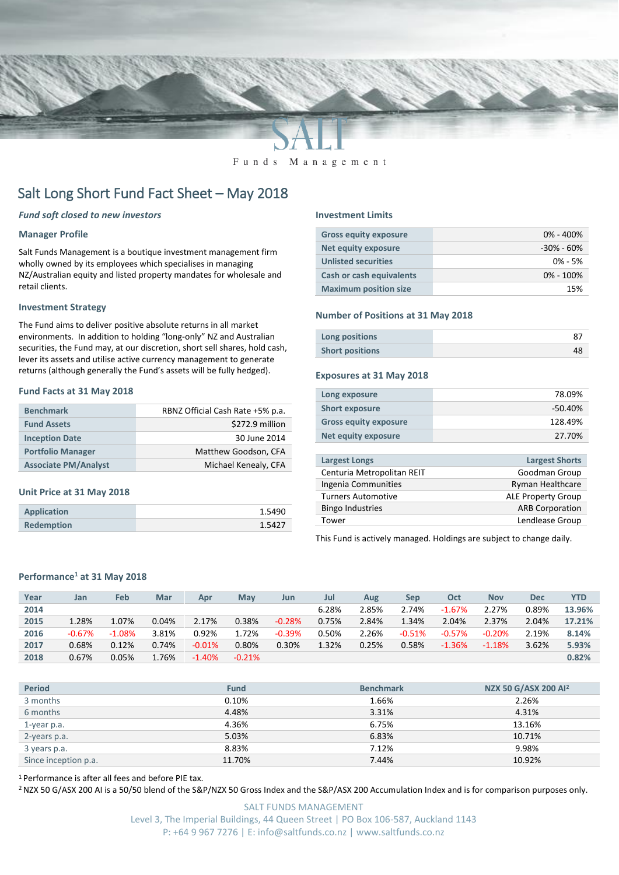

#### Funds Management

# Salt Long Short Fund Fact Sheet – May 2018

#### *Fund soft closed to new investors*

### **Manager Profile**

Salt Funds Management is a boutique investment management firm wholly owned by its employees which specialises in managing NZ/Australian equity and listed property mandates for wholesale and retail clients.

#### **Investment Strategy**

The Fund aims to deliver positive absolute returns in all market environments. In addition to holding "long-only" NZ and Australian securities, the Fund may, at our discretion, short sell shares, hold cash, lever its assets and utilise active currency management to generate returns (although generally the Fund's assets will be fully hedged).

#### **Fund Facts at 31 May 2018**

| <b>Benchmark</b>            | RBNZ Official Cash Rate +5% p.a. |
|-----------------------------|----------------------------------|
| <b>Fund Assets</b>          | \$272.9 million                  |
| <b>Inception Date</b>       | 30 June 2014                     |
| <b>Portfolio Manager</b>    | Matthew Goodson, CFA             |
| <b>Associate PM/Analyst</b> | Michael Kenealy, CFA             |

#### **Unit Price at 31 May 2018**

| <b>Application</b> | 1.5490 |
|--------------------|--------|
| <b>Redemption</b>  | 1.5427 |

#### **Investment Limits**

| <b>Gross equity exposure</b> | $0\% - 400\%$  |
|------------------------------|----------------|
| Net equity exposure          | $-30\% - 60\%$ |
| <b>Unlisted securities</b>   | $0\% - 5\%$    |
| Cash or cash equivalents     | $0\% - 100\%$  |
| <b>Maximum position size</b> | 15%            |

#### **Number of Positions at 31 May 2018**

| Long positions         |  |
|------------------------|--|
| <b>Short positions</b> |  |

#### **Exposures at 31 May 2018**

| Long exposure                | 78.09%    |
|------------------------------|-----------|
| <b>Short exposure</b>        | $-50.40%$ |
| <b>Gross equity exposure</b> | 128.49%   |
| <b>Net equity exposure</b>   | 27.70%    |
|                              |           |

| Largest Longs              | <b>Largest Shorts</b>     |
|----------------------------|---------------------------|
| Centuria Metropolitan REIT | Goodman Group             |
| Ingenia Communities        | Ryman Healthcare          |
| <b>Turners Automotive</b>  | <b>ALE Property Group</b> |
| <b>Bingo Industries</b>    | <b>ARB Corporation</b>    |
| Tower                      | Lendlease Group           |
|                            |                           |

This Fund is actively managed. Holdings are subject to change daily.

### **Performance<sup>1</sup> at 31 May 2018**

| Year | Jan      | <b>Feb</b> | Mar   | Apr       | Mav      | Jun      | Jul   | Aug   | Sep      | Oct      | <b>Nov</b> | <b>Dec</b> | <b>YTD</b> |
|------|----------|------------|-------|-----------|----------|----------|-------|-------|----------|----------|------------|------------|------------|
| 2014 |          |            |       |           |          |          | 6.28% | 2.85% | 2.74%    | $-1.67%$ | 2.27%      | 0.89%      | 13.96%     |
| 2015 | 1.28%    | 1.07%      | 0.04% | 2.17%     | 0.38%    | $-0.28%$ | 0.75% | 2.84% | 1.34%    | 2.04%    | 2.37%      | 2.04%      | 17.21%     |
| 2016 | $-0.67%$ | $-1.08\%$  | 3.81% | 0.92%     | 1.72%    | $-0.39%$ | 0.50% | 2.26% | $-0.51%$ | $-0.57%$ | $-0.20%$   | 2.19%      | 8.14%      |
| 2017 | 0.68%    | 0.12%      | 0.74% | $-0.01%$  | 0.80%    | 0.30%    | 1.32% | 0.25% | 0.58%    | $-1.36%$ | $-1.18%$   | 3.62%      | 5.93%      |
| 2018 | 0.67%    | 0.05%      | 1.76% | $-1.40\%$ | $-0.21%$ |          |       |       |          |          |            |            | 0.82%      |
|      |          |            |       |           |          |          |       |       |          |          |            |            |            |

| <b>Period</b>        | <b>Fund</b> | <b>Benchmark</b> | NZX 50 G/ASX 200 AI <sup>2</sup> |
|----------------------|-------------|------------------|----------------------------------|
| 3 months             | 0.10%       | 1.66%            | 2.26%                            |
| 6 months             | 4.48%       | 3.31%            | 4.31%                            |
| 1-year p.a.          | 4.36%       | 6.75%            | 13.16%                           |
| 2-years p.a.         | 5.03%       | 6.83%            | 10.71%                           |
| 3 years p.a.         | 8.83%       | 7.12%            | 9.98%                            |
| Since inception p.a. | 11.70%      | 7.44%            | 10.92%                           |

<sup>1</sup> Performance is after all fees and before PIE tax.

<sup>2</sup> NZX 50 G/ASX 200 AI is a 50/50 blend of the S&P/NZX 50 Gross Index and the S&P/ASX 200 Accumulation Index and is for comparison purposes only.

SALT FUNDS MANAGEMENT Level 3, The Imperial Buildings, 44 Queen Street | PO Box 106-587, Auckland 1143 P: +64 9 967 7276 | E: info@saltfunds.co.nz | www.saltfunds.co.nz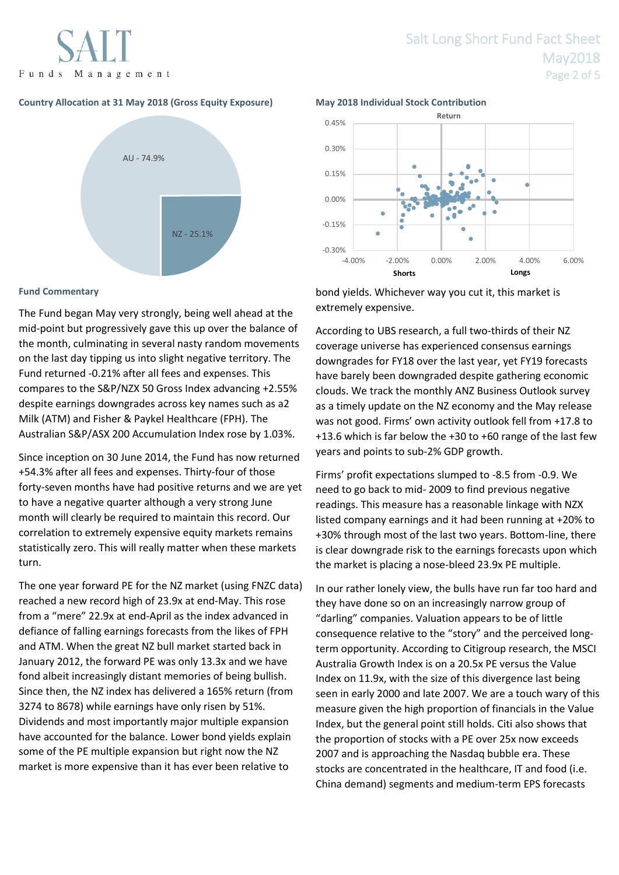

## **Country Allocation at 31 May 2018 (Gross Equity Exposure) May 2018 Individual Stock Contribution**



## **Fund Commentary**

The Fund began May very strongly, being well ahead at the mid-point but progressively gave this up over the balance of the month, culminating in several nasty random movements on the last day tipping us into slight negative territory. The Fund returned -0.21% after all fees and expenses. This compares to the S&P/NZX 50 Gross Index advancing +2.55% despite earnings downgrades across key names such as a2 Milk (ATM) and Fisher & Paykel Healthcare (FPH). The Australian S&P/ASX 200 Accumulation Index rose by 1.03%.

Since inception on 30 June 2014, the Fund has now returned +54.3% after all fees and expenses. Thirty-four of those forty-seven months have had positive returns and we are yet to have a negative quarter although a very strong June month will clearly be required to maintain this record. Our correlation to extremely expensive equity markets remains statistically zero. This will really matter when these markets turn.

The one year forward PE for the NZ market (using FNZC data) reached a new record high of 23.9x at end-May. This rose from a "mere" 22.9x at end-April as the index advanced in defiance of falling earnings forecasts from the likes of FPH and ATM. When the great NZ bull market started back in January 2012, the forward PE was only 13.3x and we have fond albeit increasingly distant memories of being bullish. Since then, the NZ index has delivered a 165% return (from 3274 to 8678) while earnings have only risen by 51%. Dividends and most importantly major multiple expansion have accounted for the balance. Lower bond yields explain some of the PE multiple expansion but right now the NZ market is more expensive than it has ever been relative to



bond yields. Whichever way you cut it, this market is extremely expensive.

According to UBS research, a full two-thirds of their NZ coverage universe has experienced consensus earnings downgrades for FY18 over the last year, yet FY19 forecasts have barely been downgraded despite gathering economic clouds. We track the monthly ANZ Business Outlook survey as a timely update on the NZ economy and the May release was not good. Firms' own activity outlook fell from +17.8 to +13.6 which is far below the +30 to +60 range of the last few years and points to sub-2% GDP growth.

Firms' profit expectations slumped to -8.5 from -0.9. We need to go back to mid- 2009 to find previous negative readings. This measure has a reasonable linkage with NZX listed company earnings and it had been running at +20% to +30% through most of the last two years. Bottom-line, there is clear downgrade risk to the earnings forecasts upon which the market is placing a nose-bleed 23.9x PE multiple.

In our rather lonely view, the bulls have run far too hard and they have done so on an increasingly narrow group of "darling" companies. Valuation appears to be of little consequence relative to the "story" and the perceived longterm opportunity. According to Citigroup research, the MSCI Australia Growth Index is on a 20.5x PE versus the Value Index on 11.9x, with the size of this divergence last being seen in early 2000 and late 2007. We are a touch wary of this measure given the high proportion of financials in the Value Index, but the general point still holds. Citi also shows that the proportion of stocks with a PE over 25x now exceeds 2007 and is approaching the Nasdaq bubble era. These stocks are concentrated in the healthcare, IT and food (i.e. China demand) segments and medium-term EPS forecasts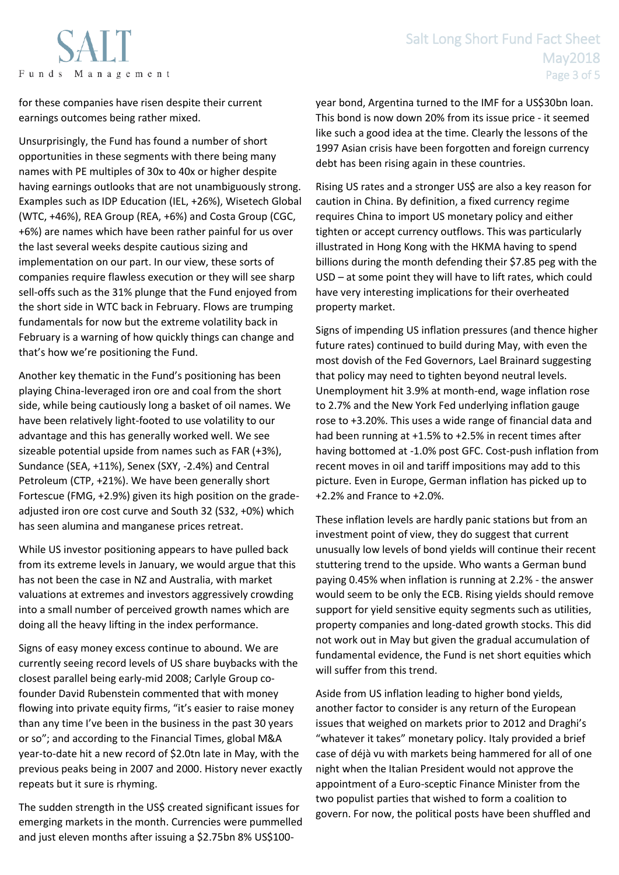for these companies have risen despite their current earnings outcomes being rather mixed.

Unsurprisingly, the Fund has found a number of short opportunities in these segments with there being many names with PE multiples of 30x to 40x or higher despite having earnings outlooks that are not unambiguously strong. Examples such as IDP Education (IEL, +26%), Wisetech Global (WTC, +46%), REA Group (REA, +6%) and Costa Group (CGC, +6%) are names which have been rather painful for us over the last several weeks despite cautious sizing and implementation on our part. In our view, these sorts of companies require flawless execution or they will see sharp sell-offs such as the 31% plunge that the Fund enjoyed from the short side in WTC back in February. Flows are trumping fundamentals for now but the extreme volatility back in February is a warning of how quickly things can change and that's how we're positioning the Fund.

Another key thematic in the Fund's positioning has been playing China-leveraged iron ore and coal from the short side, while being cautiously long a basket of oil names. We have been relatively light-footed to use volatility to our advantage and this has generally worked well. We see sizeable potential upside from names such as FAR (+3%), Sundance (SEA, +11%), Senex (SXY, -2.4%) and Central Petroleum (CTP, +21%). We have been generally short Fortescue (FMG, +2.9%) given its high position on the gradeadjusted iron ore cost curve and South 32 (S32, +0%) which has seen alumina and manganese prices retreat.

While US investor positioning appears to have pulled back from its extreme levels in January, we would argue that this has not been the case in NZ and Australia, with market valuations at extremes and investors aggressively crowding into a small number of perceived growth names which are doing all the heavy lifting in the index performance.

Signs of easy money excess continue to abound. We are currently seeing record levels of US share buybacks with the closest parallel being early-mid 2008; Carlyle Group cofounder David Rubenstein commented that with money flowing into private equity firms, "it's easier to raise money than any time I've been in the business in the past 30 years or so"; and according to the Financial Times, global M&A year-to-date hit a new record of \$2.0tn late in May, with the previous peaks being in 2007 and 2000. History never exactly repeats but it sure is rhyming.

The sudden strength in the US\$ created significant issues for emerging markets in the month. Currencies were pummelled and just eleven months after issuing a \$2.75bn 8% US\$100year bond, Argentina turned to the IMF for a US\$30bn loan. This bond is now down 20% from its issue price - it seemed like such a good idea at the time. Clearly the lessons of the 1997 Asian crisis have been forgotten and foreign currency debt has been rising again in these countries.

Rising US rates and a stronger US\$ are also a key reason for caution in China. By definition, a fixed currency regime requires China to import US monetary policy and either tighten or accept currency outflows. This was particularly illustrated in Hong Kong with the HKMA having to spend billions during the month defending their \$7.85 peg with the USD – at some point they will have to lift rates, which could have very interesting implications for their overheated property market.

Signs of impending US inflation pressures (and thence higher future rates) continued to build during May, with even the most dovish of the Fed Governors, Lael Brainard suggesting that policy may need to tighten beyond neutral levels. Unemployment hit 3.9% at month-end, wage inflation rose to 2.7% and the New York Fed underlying inflation gauge rose to +3.20%. This uses a wide range of financial data and had been running at +1.5% to +2.5% in recent times after having bottomed at -1.0% post GFC. Cost-push inflation from recent moves in oil and tariff impositions may add to this picture. Even in Europe, German inflation has picked up to +2.2% and France to +2.0%.

These inflation levels are hardly panic stations but from an investment point of view, they do suggest that current unusually low levels of bond yields will continue their recent stuttering trend to the upside. Who wants a German bund paying 0.45% when inflation is running at 2.2% - the answer would seem to be only the ECB. Rising yields should remove support for yield sensitive equity segments such as utilities, property companies and long-dated growth stocks. This did not work out in May but given the gradual accumulation of fundamental evidence, the Fund is net short equities which will suffer from this trend.

Aside from US inflation leading to higher bond yields, another factor to consider is any return of the European issues that weighed on markets prior to 2012 and Draghi's "whatever it takes" monetary policy. Italy provided a brief case of déjà vu with markets being hammered for all of one night when the Italian President would not approve the appointment of a Euro-sceptic Finance Minister from the two populist parties that wished to form a coalition to govern. For now, the political posts have been shuffled and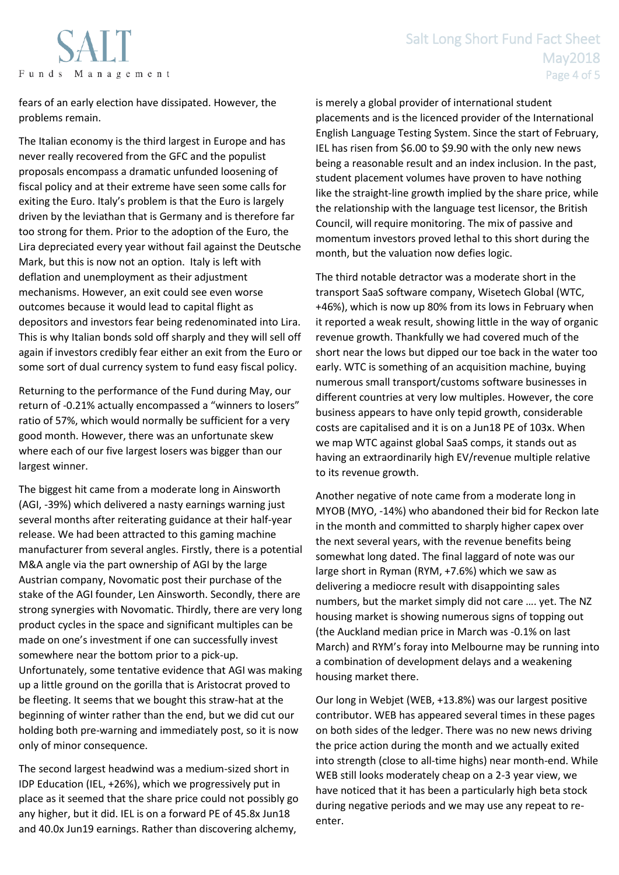

fears of an early election have dissipated. However, the problems remain.

The Italian economy is the third largest in Europe and has never really recovered from the GFC and the populist proposals encompass a dramatic unfunded loosening of fiscal policy and at their extreme have seen some calls for exiting the Euro. Italy's problem is that the Euro is largely driven by the leviathan that is Germany and is therefore far too strong for them. Prior to the adoption of the Euro, the Lira depreciated every year without fail against the Deutsche Mark, but this is now not an option. Italy is left with deflation and unemployment as their adjustment mechanisms. However, an exit could see even worse outcomes because it would lead to capital flight as depositors and investors fear being redenominated into Lira. This is why Italian bonds sold off sharply and they will sell off again if investors credibly fear either an exit from the Euro or some sort of dual currency system to fund easy fiscal policy.

Returning to the performance of the Fund during May, our return of -0.21% actually encompassed a "winners to losers" ratio of 57%, which would normally be sufficient for a very good month. However, there was an unfortunate skew where each of our five largest losers was bigger than our largest winner.

The biggest hit came from a moderate long in Ainsworth (AGI, -39%) which delivered a nasty earnings warning just several months after reiterating guidance at their half-year release. We had been attracted to this gaming machine manufacturer from several angles. Firstly, there is a potential M&A angle via the part ownership of AGI by the large Austrian company, Novomatic post their purchase of the stake of the AGI founder, Len Ainsworth. Secondly, there are strong synergies with Novomatic. Thirdly, there are very long product cycles in the space and significant multiples can be made on one's investment if one can successfully invest somewhere near the bottom prior to a pick-up. Unfortunately, some tentative evidence that AGI was making up a little ground on the gorilla that is Aristocrat proved to be fleeting. It seems that we bought this straw-hat at the beginning of winter rather than the end, but we did cut our holding both pre-warning and immediately post, so it is now only of minor consequence.

The second largest headwind was a medium-sized short in IDP Education (IEL, +26%), which we progressively put in place as it seemed that the share price could not possibly go any higher, but it did. IEL is on a forward PE of 45.8x Jun18 and 40.0x Jun19 earnings. Rather than discovering alchemy,

is merely a global provider of international student placements and is the licenced provider of the International English Language Testing System. Since the start of February, IEL has risen from \$6.00 to \$9.90 with the only new news being a reasonable result and an index inclusion. In the past, student placement volumes have proven to have nothing like the straight-line growth implied by the share price, while the relationship with the language test licensor, the British Council, will require monitoring. The mix of passive and momentum investors proved lethal to this short during the month, but the valuation now defies logic.

The third notable detractor was a moderate short in the transport SaaS software company, Wisetech Global (WTC, +46%), which is now up 80% from its lows in February when it reported a weak result, showing little in the way of organic revenue growth. Thankfully we had covered much of the short near the lows but dipped our toe back in the water too early. WTC is something of an acquisition machine, buying numerous small transport/customs software businesses in different countries at very low multiples. However, the core business appears to have only tepid growth, considerable costs are capitalised and it is on a Jun18 PE of 103x. When we map WTC against global SaaS comps, it stands out as having an extraordinarily high EV/revenue multiple relative to its revenue growth.

Another negative of note came from a moderate long in MYOB (MYO, -14%) who abandoned their bid for Reckon late in the month and committed to sharply higher capex over the next several years, with the revenue benefits being somewhat long dated. The final laggard of note was our large short in Ryman (RYM, +7.6%) which we saw as delivering a mediocre result with disappointing sales numbers, but the market simply did not care …. yet. The NZ housing market is showing numerous signs of topping out (the Auckland median price in March was -0.1% on last March) and RYM's foray into Melbourne may be running into a combination of development delays and a weakening housing market there.

Our long in Webjet (WEB, +13.8%) was our largest positive contributor. WEB has appeared several times in these pages on both sides of the ledger. There was no new news driving the price action during the month and we actually exited into strength (close to all-time highs) near month-end. While WEB still looks moderately cheap on a 2-3 year view, we have noticed that it has been a particularly high beta stock during negative periods and we may use any repeat to reenter.